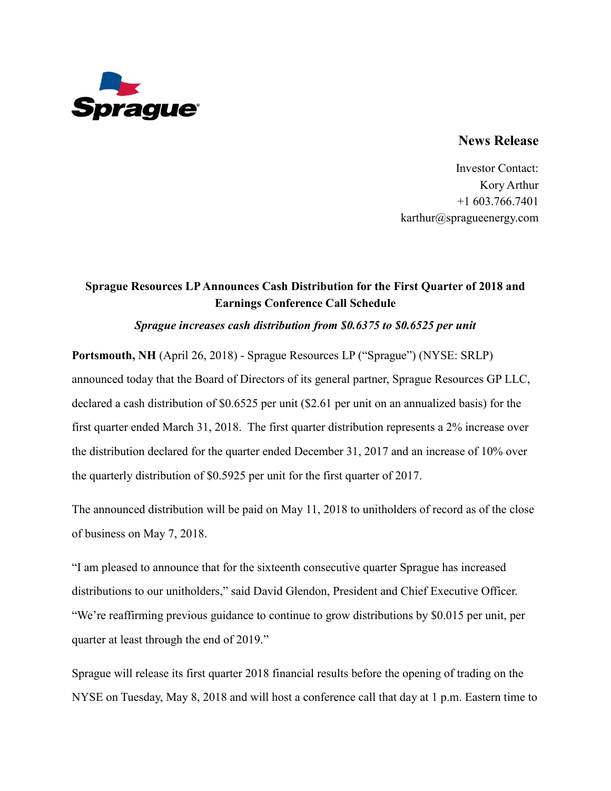

## **News Release**

Investor Contact: Kory Arthur +1 603.766.7401 karthur@spragueenergy.com

# **Sprague Resources LP Announces Cash Distribution for the First Quarter of 2018 and Earnings Conference Call Schedule**

### *Sprague increases cash distribution from \$0.6375 to \$0.6525 per unit*

**Portsmouth, NH** (April 26, 2018) - Sprague Resources LP ("Sprague") (NYSE: SRLP) announced today that the Board of Directors of its general partner, Sprague Resources GP LLC, declared a cash distribution of \$0.6525 per unit (\$2.61 per unit on an annualized basis) for the first quarter ended March 31, 2018. The first quarter distribution represents a 2% increase over the distribution declared for the quarter ended December 31, 2017 and an increase of 10% over the quarterly distribution of \$0.5925 per unit for the first quarter of 2017.

The announced distribution will be paid on May 11, 2018 to unitholders of record as of the close of business on May 7, 2018.

"I am pleased to announce that for the sixteenth consecutive quarter Sprague has increased distributions to our unitholders," said David Glendon, President and Chief Executive Officer. "We're reaffirming previous guidance to continue to grow distributions by \$0.015 per unit, per quarter at least through the end of 2019."

Sprague will release its first quarter 2018 financial results before the opening of trading on the NYSE on Tuesday, May 8, 2018 and will host a conference call that day at 1 p.m. Eastern time to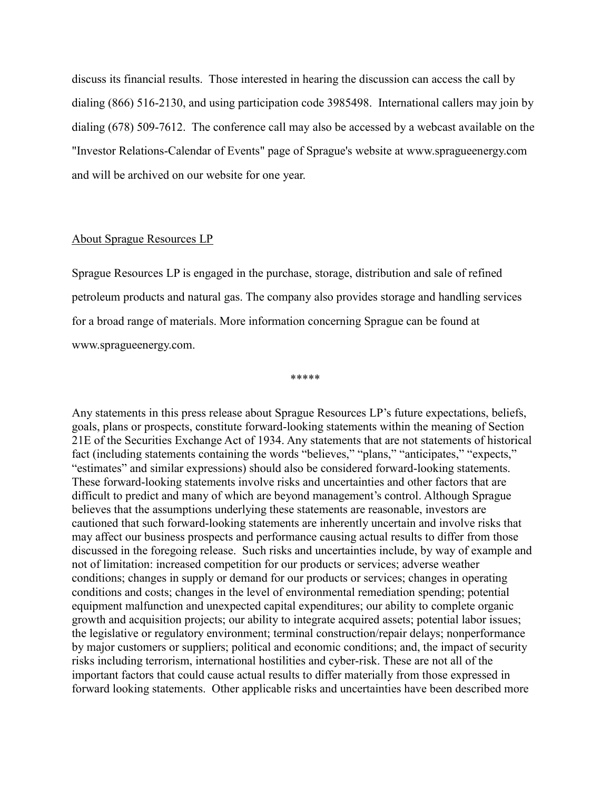discuss its financial results. Those interested in hearing the discussion can access the call by dialing (866) 516-2130, and using participation code 3985498. International callers may join by dialing (678) 509-7612. The conference call may also be accessed by a webcast available on the "Investor Relations-Calendar of Events" page of Sprague's website at www.spragueenergy.com and will be archived on our website for one year.

### About Sprague Resources LP

Sprague Resources LP is engaged in the purchase, storage, distribution and sale of refined petroleum products and natural gas. The company also provides storage and handling services for a broad range of materials. More information concerning Sprague can be found at www.spragueenergy.com.

\*\*\*\*\*

Any statements in this press release about Sprague Resources LP's future expectations, beliefs, goals, plans or prospects, constitute forward-looking statements within the meaning of Section 21E of the Securities Exchange Act of 1934. Any statements that are not statements of historical fact (including statements containing the words "believes," "plans," "anticipates," "expects," "estimates" and similar expressions) should also be considered forward-looking statements. These forward-looking statements involve risks and uncertainties and other factors that are difficult to predict and many of which are beyond management's control. Although Sprague believes that the assumptions underlying these statements are reasonable, investors are cautioned that such forward-looking statements are inherently uncertain and involve risks that may affect our business prospects and performance causing actual results to differ from those discussed in the foregoing release. Such risks and uncertainties include, by way of example and not of limitation: increased competition for our products or services; adverse weather conditions; changes in supply or demand for our products or services; changes in operating conditions and costs; changes in the level of environmental remediation spending; potential equipment malfunction and unexpected capital expenditures; our ability to complete organic growth and acquisition projects; our ability to integrate acquired assets; potential labor issues; the legislative or regulatory environment; terminal construction/repair delays; nonperformance by major customers or suppliers; political and economic conditions; and, the impact of security risks including terrorism, international hostilities and cyber-risk. These are not all of the important factors that could cause actual results to differ materially from those expressed in forward looking statements. Other applicable risks and uncertainties have been described more